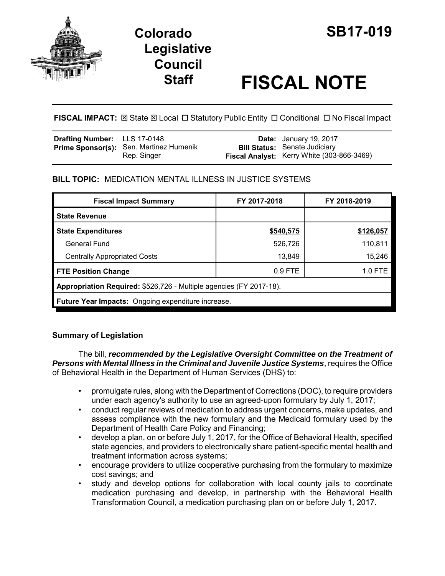



# **Staff FISCAL NOTE**

FISCAL IMPACT:  $\boxtimes$  State  $\boxtimes$  Local  $\Box$  Statutory Public Entity  $\Box$  Conditional  $\Box$  No Fiscal Impact

| <b>Drafting Number:</b> LLS 17-0148 |                                                        | <b>Date:</b> January 19, 2017                                                      |
|-------------------------------------|--------------------------------------------------------|------------------------------------------------------------------------------------|
|                                     | Prime Sponsor(s): Sen. Martinez Humenik<br>Rep. Singer | <b>Bill Status: Senate Judiciary</b><br>Fiscal Analyst: Kerry White (303-866-3469) |

# **BILL TOPIC:** MEDICATION MENTAL ILLNESS IN JUSTICE SYSTEMS

| <b>Fiscal Impact Summary</b>                                        | FY 2017-2018 | FY 2018-2019 |  |  |
|---------------------------------------------------------------------|--------------|--------------|--|--|
| <b>State Revenue</b>                                                |              |              |  |  |
| <b>State Expenditures</b>                                           | \$540,575    | \$126,057    |  |  |
| General Fund                                                        | 526,726      | 110,811      |  |  |
| <b>Centrally Appropriated Costs</b>                                 | 13,849       | 15,246       |  |  |
| <b>FTE Position Change</b>                                          | $0.9$ FTE    | $1.0$ FTE    |  |  |
| Appropriation Required: \$526,726 - Multiple agencies (FY 2017-18). |              |              |  |  |
| Future Year Impacts: Ongoing expenditure increase.                  |              |              |  |  |

# **Summary of Legislation**

The bill, *recommended by the Legislative Oversight Committee on the Treatment of Persons with Mental Illness in the Criminal and Juvenile Justice Systems*, requires the Office of Behavioral Health in the Department of Human Services (DHS) to:

- promulgate rules, along with the Department of Corrections (DOC), to require providers under each agency's authority to use an agreed-upon formulary by July 1, 2017;
- conduct regular reviews of medication to address urgent concerns, make updates, and assess compliance with the new formulary and the Medicaid formulary used by the Department of Health Care Policy and Financing;
- develop a plan, on or before July 1, 2017, for the Office of Behavioral Health, specified state agencies, and providers to electronically share patient-specific mental health and treatment information across systems;
- encourage providers to utilize cooperative purchasing from the formulary to maximize cost savings; and
- study and develop options for collaboration with local county jails to coordinate medication purchasing and develop, in partnership with the Behavioral Health Transformation Council, a medication purchasing plan on or before July 1, 2017.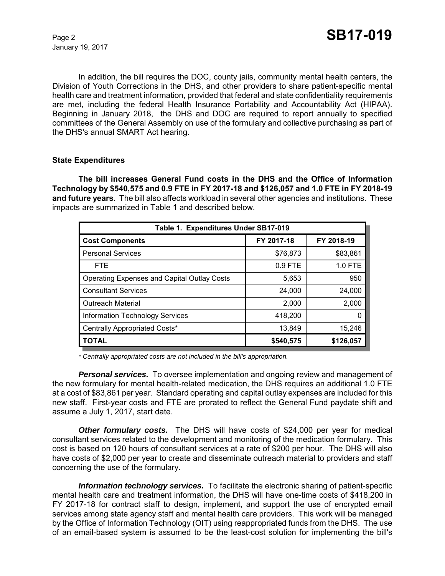January 19, 2017

In addition, the bill requires the DOC, county jails, community mental health centers, the Division of Youth Corrections in the DHS, and other providers to share patient-specific mental health care and treatment information, provided that federal and state confidentiality requirements are met, including the federal Health Insurance Portability and Accountability Act (HIPAA). Beginning in January 2018, the DHS and DOC are required to report annually to specified committees of the General Assembly on use of the formulary and collective purchasing as part of the DHS's annual SMART Act hearing.

## **State Expenditures**

**The bill increases General Fund costs in the DHS and the Office of Information Technology by \$540,575 and 0.9 FTE in FY 2017-18 and \$126,057 and 1.0 FTE in FY 2018-19 and future years.** The bill also affects workload in several other agencies and institutions. These impacts are summarized in Table 1 and described below.

| Table 1. Expenditures Under SB17-019               |            |            |  |  |
|----------------------------------------------------|------------|------------|--|--|
| <b>Cost Components</b>                             | FY 2017-18 | FY 2018-19 |  |  |
| <b>Personal Services</b>                           | \$76,873   | \$83,861   |  |  |
| <b>FTE</b>                                         | $0.9$ FTE  | 1.0 FTE    |  |  |
| <b>Operating Expenses and Capital Outlay Costs</b> | 5,653      | 950        |  |  |
| <b>Consultant Services</b>                         | 24,000     | 24,000     |  |  |
| <b>Outreach Material</b>                           | 2,000      | 2,000      |  |  |
| <b>Information Technology Services</b>             | 418,200    | 0          |  |  |
| Centrally Appropriated Costs*                      | 13,849     | 15,246     |  |  |
| <b>TOTAL</b>                                       | \$540,575  | \$126,057  |  |  |

*\* Centrally appropriated costs are not included in the bill's appropriation.*

*Personal services.* To oversee implementation and ongoing review and management of the new formulary for mental health-related medication, the DHS requires an additional 1.0 FTE at a cost of \$83,861 per year. Standard operating and capital outlay expenses are included for this new staff. First-year costs and FTE are prorated to reflect the General Fund paydate shift and assume a July 1, 2017, start date.

*Other formulary costs.* The DHS will have costs of \$24,000 per year for medical consultant services related to the development and monitoring of the medication formulary. This cost is based on 120 hours of consultant services at a rate of \$200 per hour. The DHS will also have costs of \$2,000 per year to create and disseminate outreach material to providers and staff concerning the use of the formulary.

*Information technology services.* To facilitate the electronic sharing of patient-specific mental health care and treatment information, the DHS will have one-time costs of \$418,200 in FY 2017-18 for contract staff to design, implement, and support the use of encrypted email services among state agency staff and mental health care providers. This work will be managed by the Office of Information Technology (OIT) using reappropriated funds from the DHS. The use of an email-based system is assumed to be the least-cost solution for implementing the bill's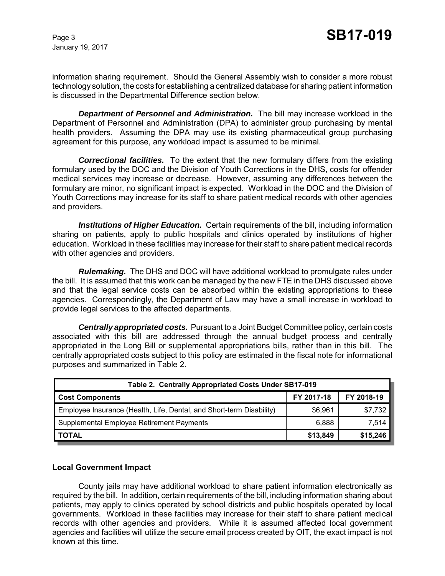January 19, 2017

information sharing requirement. Should the General Assembly wish to consider a more robust technology solution, the costs for establishing a centralized database for sharing patient information is discussed in the Departmental Difference section below.

*Department of Personnel and Administration.* The bill may increase workload in the Department of Personnel and Administration (DPA) to administer group purchasing by mental health providers. Assuming the DPA may use its existing pharmaceutical group purchasing agreement for this purpose, any workload impact is assumed to be minimal.

*Correctional facilities.* To the extent that the new formulary differs from the existing formulary used by the DOC and the Division of Youth Corrections in the DHS, costs for offender medical services may increase or decrease. However, assuming any differences between the formulary are minor, no significant impact is expected. Workload in the DOC and the Division of Youth Corrections may increase for its staff to share patient medical records with other agencies and providers.

*Institutions of Higher Education.* Certain requirements of the bill, including information sharing on patients, apply to public hospitals and clinics operated by institutions of higher education. Workload in these facilities may increase for their staff to share patient medical records with other agencies and providers.

*Rulemaking.* The DHS and DOC will have additional workload to promulgate rules under the bill. It is assumed that this work can be managed by the new FTE in the DHS discussed above and that the legal service costs can be absorbed within the existing appropriations to these agencies. Correspondingly, the Department of Law may have a small increase in workload to provide legal services to the affected departments.

*Centrally appropriated costs.* Pursuant to a Joint Budget Committee policy, certain costs associated with this bill are addressed through the annual budget process and centrally appropriated in the Long Bill or supplemental appropriations bills, rather than in this bill. The centrally appropriated costs subject to this policy are estimated in the fiscal note for informational purposes and summarized in Table 2.

| Table 2. Centrally Appropriated Costs Under SB17-019                 |            |            |  |  |
|----------------------------------------------------------------------|------------|------------|--|--|
| <b>Cost Components</b>                                               | FY 2017-18 | FY 2018-19 |  |  |
| Employee Insurance (Health, Life, Dental, and Short-term Disability) | \$6,961    | \$7,732    |  |  |
| Supplemental Employee Retirement Payments                            | 6,888      | 7,514      |  |  |
| <b>TOTAL</b>                                                         | \$13,849   | \$15,246   |  |  |

## **Local Government Impact**

County jails may have additional workload to share patient information electronically as required by the bill. In addition, certain requirements of the bill, including information sharing about patients, may apply to clinics operated by school districts and public hospitals operated by local governments. Workload in these facilities may increase for their staff to share patient medical records with other agencies and providers. While it is assumed affected local government agencies and facilities will utilize the secure email process created by OIT, the exact impact is not known at this time.